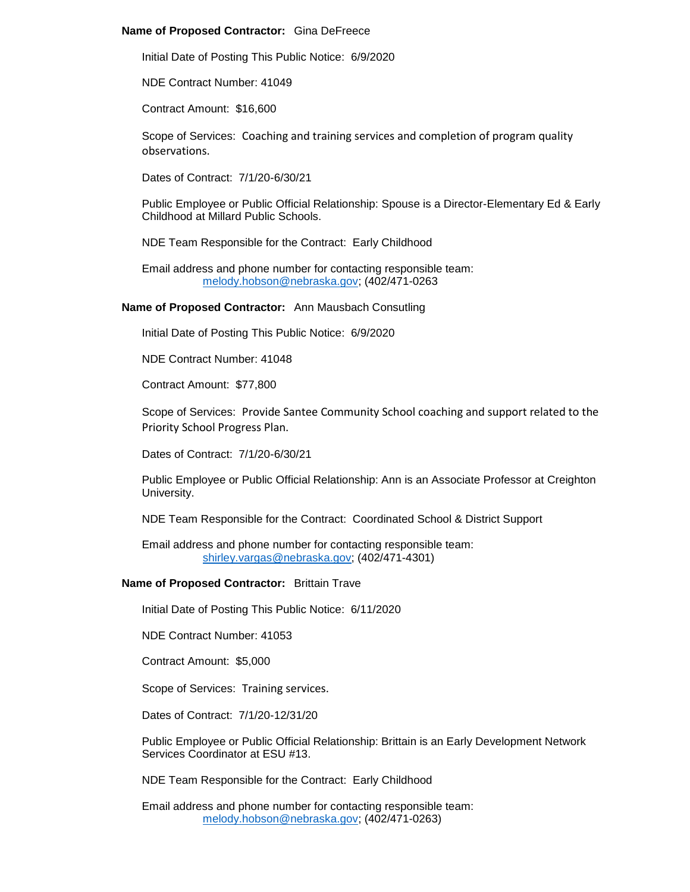## **Name of Proposed Contractor:** Gina DeFreece

Initial Date of Posting This Public Notice: 6/9/2020

NDE Contract Number: 41049

Contract Amount: \$16,600

Scope of Services: Coaching and training services and completion of program quality observations.

Dates of Contract: 7/1/20-6/30/21

Public Employee or Public Official Relationship: Spouse is a Director-Elementary Ed & Early Childhood at Millard Public Schools.

NDE Team Responsible for the Contract: Early Childhood

Email address and phone number for contacting responsible team: [melody.hobson@nebraska.gov;](mailto:melody.hobson@nebraska.gov) (402/471-0263

**Name of Proposed Contractor:** Ann Mausbach Consutling

Initial Date of Posting This Public Notice: 6/9/2020

NDE Contract Number: 41048

Contract Amount: \$77,800

Scope of Services: Provide Santee Community School coaching and support related to the Priority School Progress Plan.

Dates of Contract: 7/1/20-6/30/21

Public Employee or Public Official Relationship: Ann is an Associate Professor at Creighton University.

NDE Team Responsible for the Contract: Coordinated School & District Support

Email address and phone number for contacting responsible team: [shirley.vargas@nebraska.gov;](mailto:shirley.vargas@nebraska.gov) (402/471-4301)

#### **Name of Proposed Contractor:** Brittain Trave

Initial Date of Posting This Public Notice: 6/11/2020

NDE Contract Number: 41053

Contract Amount: \$5,000

Scope of Services: Training services.

Dates of Contract: 7/1/20-12/31/20

Public Employee or Public Official Relationship: Brittain is an Early Development Network Services Coordinator at ESU #13.

NDE Team Responsible for the Contract: Early Childhood

Email address and phone number for contacting responsible team: [melody.hobson@nebraska.gov;](mailto:melody.hobson@nebraska.gov) (402/471-0263)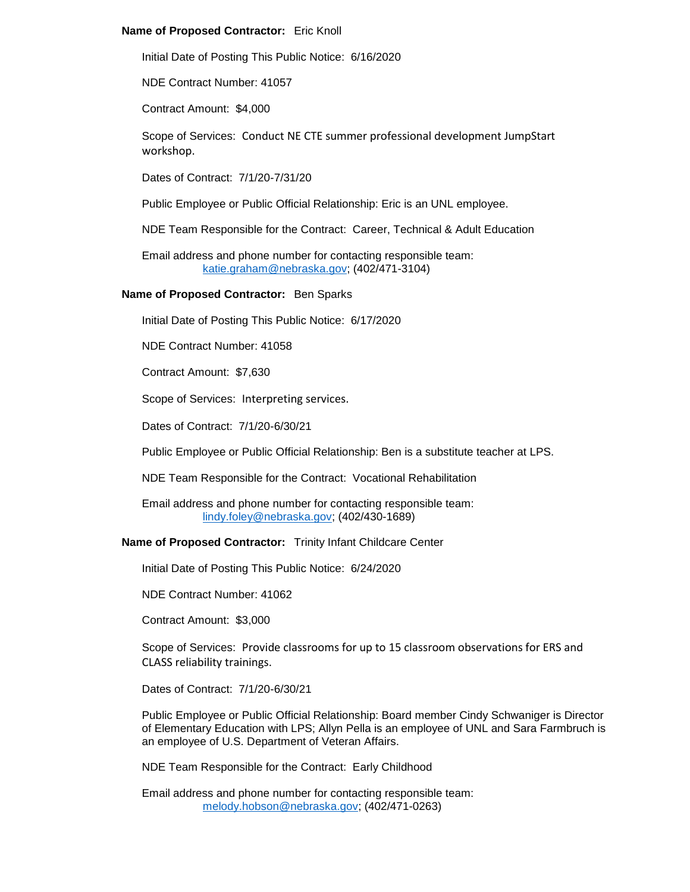## **Name of Proposed Contractor:** Eric Knoll

Initial Date of Posting This Public Notice: 6/16/2020

NDE Contract Number: 41057

Contract Amount: \$4,000

Scope of Services: Conduct NE CTE summer professional development JumpStart workshop.

Dates of Contract: 7/1/20-7/31/20

Public Employee or Public Official Relationship: Eric is an UNL employee.

NDE Team Responsible for the Contract: Career, Technical & Adult Education

Email address and phone number for contacting responsible team: [katie.graham@nebraska.gov;](mailto:katie.graham@nebraska.gov) (402/471-3104)

#### **Name of Proposed Contractor:** Ben Sparks

Initial Date of Posting This Public Notice: 6/17/2020

NDE Contract Number: 41058

Contract Amount: \$7,630

Scope of Services: Interpreting services.

Dates of Contract: 7/1/20-6/30/21

Public Employee or Public Official Relationship: Ben is a substitute teacher at LPS.

NDE Team Responsible for the Contract: Vocational Rehabilitation

Email address and phone number for contacting responsible team: [lindy.foley@nebraska.gov;](mailto:lindy.foley@nebraska.gov) (402/430-1689)

**Name of Proposed Contractor:** Trinity Infant Childcare Center

Initial Date of Posting This Public Notice: 6/24/2020

NDE Contract Number: 41062

Contract Amount: \$3,000

Scope of Services: Provide classrooms for up to 15 classroom observations for ERS and CLASS reliability trainings.

Dates of Contract: 7/1/20-6/30/21

Public Employee or Public Official Relationship: Board member Cindy Schwaniger is Director of Elementary Education with LPS; Allyn Pella is an employee of UNL and Sara Farmbruch is an employee of U.S. Department of Veteran Affairs.

NDE Team Responsible for the Contract: Early Childhood

Email address and phone number for contacting responsible team: [melody.hobson@nebraska.gov;](mailto:melody.hobson@nebraska.gov) (402/471-0263)